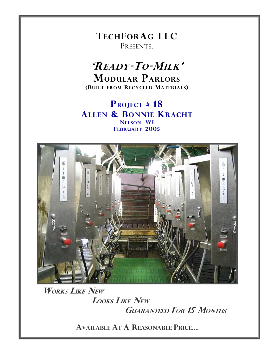**TECHFORAG LLC** PRESENTS:

# 'READY-TO-MILK' **MODULAR PARLORS** (BUILT FROM RECYCLED MATERIALS)

PROJECT # 18 **ALLEN & BONNIE KRACHT** NELSON, WI **FEBRUARY 2005** 



**WORKS LIKE NEW LOOKS LIKE NEW GUARANTEED FOR 15 MONTHS** 

**AVAILABLE AT A REASONABLE PRICE....**